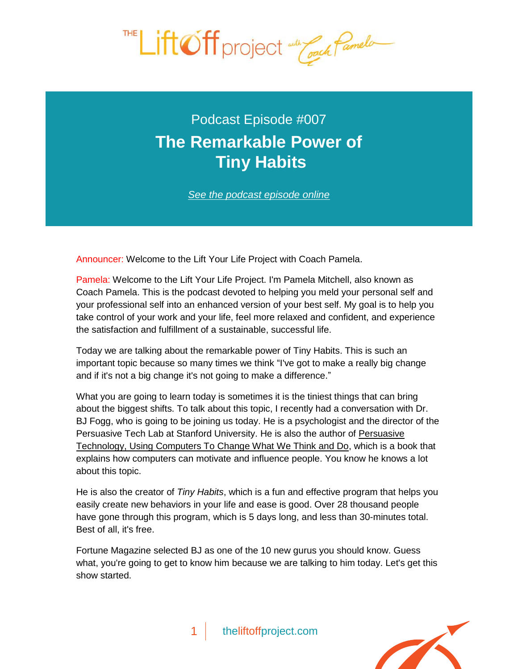

Podcast Episode #007 **[The Remarkable Power of](http://theliftoffproject.com/the-remarkable-power-of-tiny-habits/) Tiny Habits**

*See the podcast episode online*

Announcer: Welcome to the Lift Your Life Project with Coach Pamela.

Pamela: Welcome to the Lift Your Life Project. I'm Pamela Mitchell, also known as Coach Pamela. This is the podcast devoted to helping you meld your personal self and your professional self into an enhanced version of your best self. My goal is to help you take control of your work and your life, feel more relaxed and confident, and experience the satisfaction and fulfillment of a sustainable, successful life.

Today we are talking about the remarkable power of Tiny Habits. This is such an important topic because so many times we think "I've got to make a really big change and if it's not a big change it's not going to make a difference."

What you are going to learn today is sometimes it is the tiniest things that can bring about the biggest shifts. To talk about this topic, I recently had a conversation with Dr. BJ Fogg, who is going to be joining us today. He is a psychologist and the director of the Persuasive Tech Lab at Stanford University. He is also the author of Persuasive Technology, Using Computers To Change What We Think and Do, which is a book that explains how computers can motivate and influence people. You know he knows a lot about this topic.

He is also the creator of *Tiny Habits*, which is a fun and effective program that helps you easily create new behaviors in your life and ease is good. Over 28 thousand people have gone through this program, which is 5 days long, and less than 30-minutes total. Best of all, it's free.

Fortune Magazine selected BJ as one of the 10 new gurus you should know. Guess what, you're going to get to know him because we are talking to him today. Let's get this show started.

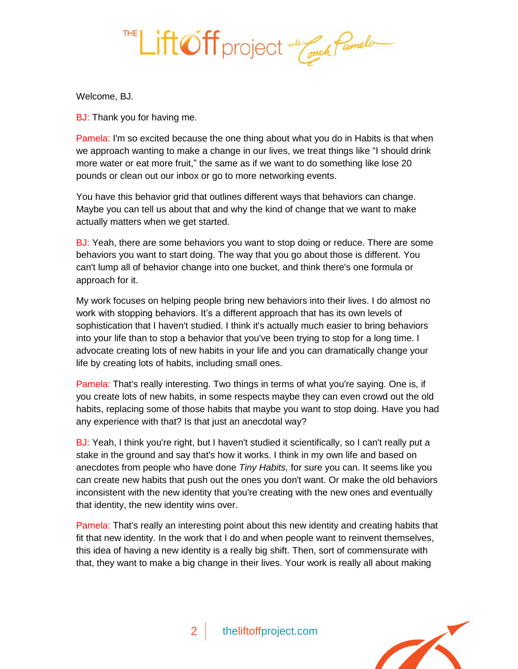

Welcome, BJ.

BJ: Thank you for having me.

Pamela: I'm so excited because the one thing about what you do in Habits is that when we approach wanting to make a change in our lives, we treat things like "I should drink more water or eat more fruit," the same as if we want to do something like lose 20 pounds or clean out our inbox or go to more networking events.

You have this behavior grid that outlines different ways that behaviors can change. Maybe you can tell us about that and why the kind of change that we want to make actually matters when we get started.

BJ: Yeah, there are some behaviors you want to stop doing or reduce. There are some behaviors you want to start doing. The way that you go about those is different. You can't lump all of behavior change into one bucket, and think there's one formula or approach for it.

My work focuses on helping people bring new behaviors into their lives. I do almost no work with stopping behaviors. It's a different approach that has its own levels of sophistication that I haven't studied. I think it's actually much easier to bring behaviors into your life than to stop a behavior that you've been trying to stop for a long time. I advocate creating lots of new habits in your life and you can dramatically change your life by creating lots of habits, including small ones.

Pamela: That's really interesting. Two things in terms of what you're saying. One is, if you create lots of new habits, in some respects maybe they can even crowd out the old habits, replacing some of those habits that maybe you want to stop doing. Have you had any experience with that? Is that just an anecdotal way?

BJ: Yeah, I think you're right, but I haven't studied it scientifically, so I can't really put a stake in the ground and say that's how it works. I think in my own life and based on anecdotes from people who have done *Tiny Habits,* for sure you can. It seems like you can create new habits that push out the ones you don't want. Or make the old behaviors inconsistent with the new identity that you're creating with the new ones and eventually that identity, the new identity wins over.

Pamela: That's really an interesting point about this new identity and creating habits that fit that new identity. In the work that I do and when people want to reinvent themselves, this idea of having a new identity is a really big shift. Then, sort of commensurate with that, they want to make a big change in their lives. Your work is really all about making

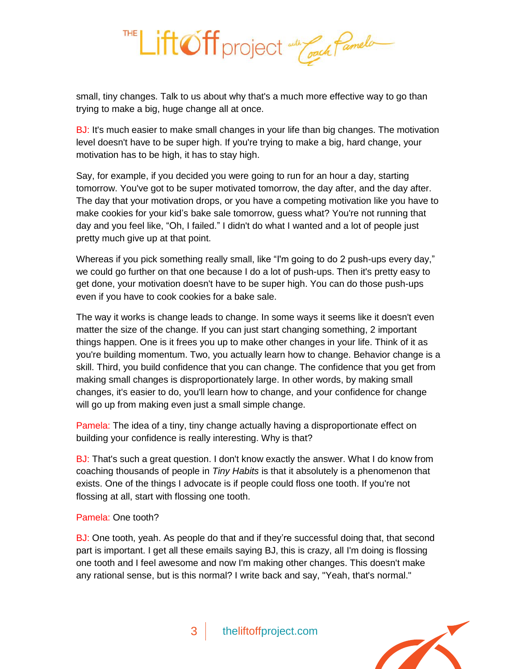

small, tiny changes. Talk to us about why that's a much more effective way to go than trying to make a big, huge change all at once.

BJ: It's much easier to make small changes in your life than big changes. The motivation level doesn't have to be super high. If you're trying to make a big, hard change, your motivation has to be high, it has to stay high.

Say, for example, if you decided you were going to run for an hour a day, starting tomorrow. You've got to be super motivated tomorrow, the day after, and the day after. The day that your motivation drops, or you have a competing motivation like you have to make cookies for your kid's bake sale tomorrow, guess what? You're not running that day and you feel like, "Oh, I failed." I didn't do what I wanted and a lot of people just pretty much give up at that point.

Whereas if you pick something really small, like "I'm going to do 2 push-ups every day," we could go further on that one because I do a lot of push-ups. Then it's pretty easy to get done, your motivation doesn't have to be super high. You can do those push-ups even if you have to cook cookies for a bake sale.

The way it works is change leads to change. In some ways it seems like it doesn't even matter the size of the change. If you can just start changing something, 2 important things happen. One is it frees you up to make other changes in your life. Think of it as you're building momentum. Two, you actually learn how to change. Behavior change is a skill. Third, you build confidence that you can change. The confidence that you get from making small changes is disproportionately large. In other words, by making small changes, it's easier to do, you'll learn how to change, and your confidence for change will go up from making even just a small simple change.

Pamela: The idea of a tiny, tiny change actually having a disproportionate effect on building your confidence is really interesting. Why is that?

BJ: That's such a great question. I don't know exactly the answer. What I do know from coaching thousands of people in *Tiny Habits* is that it absolutely is a phenomenon that exists. One of the things I advocate is if people could floss one tooth. If you're not flossing at all, start with flossing one tooth.

## Pamela: One tooth?

BJ: One tooth, yeah. As people do that and if they're successful doing that, that second part is important. I get all these emails saying BJ, this is crazy, all I'm doing is flossing one tooth and I feel awesome and now I'm making other changes. This doesn't make any rational sense, but is this normal? I write back and say, "Yeah, that's normal."

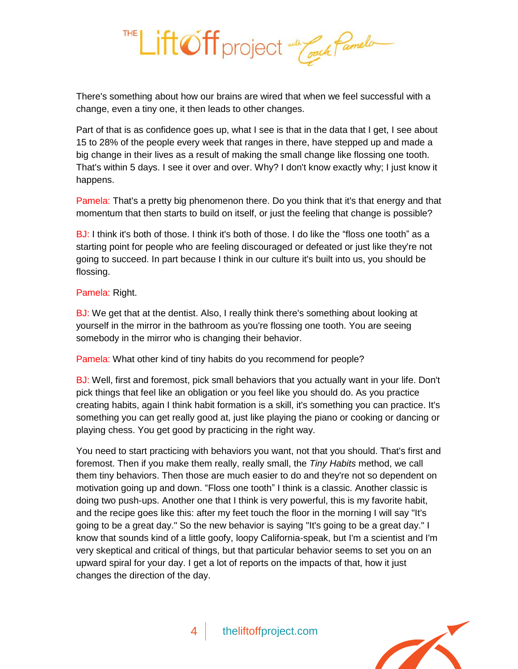

There's something about how our brains are wired that when we feel successful with a change, even a tiny one, it then leads to other changes.

Part of that is as confidence goes up, what I see is that in the data that I get, I see about 15 to 28% of the people every week that ranges in there, have stepped up and made a big change in their lives as a result of making the small change like flossing one tooth. That's within 5 days. I see it over and over. Why? I don't know exactly why; I just know it happens.

Pamela: That's a pretty big phenomenon there. Do you think that it's that energy and that momentum that then starts to build on itself, or just the feeling that change is possible?

BJ: I think it's both of those. I think it's both of those. I do like the "floss one tooth" as a starting point for people who are feeling discouraged or defeated or just like they're not going to succeed. In part because I think in our culture it's built into us, you should be flossing.

## Pamela: Right.

BJ: We get that at the dentist. Also, I really think there's something about looking at yourself in the mirror in the bathroom as you're flossing one tooth. You are seeing somebody in the mirror who is changing their behavior.

Pamela: What other kind of tiny habits do you recommend for people?

BJ: Well, first and foremost, pick small behaviors that you actually want in your life. Don't pick things that feel like an obligation or you feel like you should do. As you practice creating habits, again I think habit formation is a skill, it's something you can practice. It's something you can get really good at, just like playing the piano or cooking or dancing or playing chess. You get good by practicing in the right way.

You need to start practicing with behaviors you want, not that you should. That's first and foremost. Then if you make them really, really small, the *Tiny Habits* method, we call them tiny behaviors. Then those are much easier to do and they're not so dependent on motivation going up and down. "Floss one tooth" I think is a classic. Another classic is doing two push-ups. Another one that I think is very powerful, this is my favorite habit, and the recipe goes like this: after my feet touch the floor in the morning I will say "It's going to be a great day." So the new behavior is saying "It's going to be a great day." I know that sounds kind of a little goofy, loopy California-speak, but I'm a scientist and I'm very skeptical and critical of things, but that particular behavior seems to set you on an upward spiral for your day. I get a lot of reports on the impacts of that, how it just changes the direction of the day.

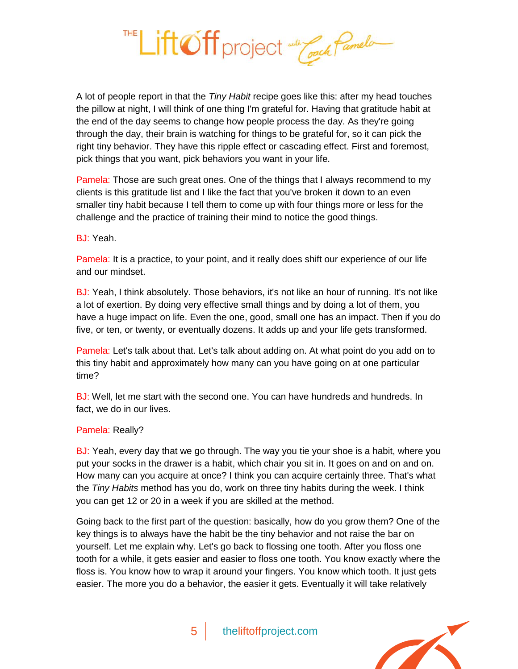

A lot of people report in that the *Tiny Habit* recipe goes like this: after my head touches the pillow at night, I will think of one thing I'm grateful for. Having that gratitude habit at the end of the day seems to change how people process the day. As they're going through the day, their brain is watching for things to be grateful for, so it can pick the right tiny behavior. They have this ripple effect or cascading effect. First and foremost, pick things that you want, pick behaviors you want in your life.

Pamela: Those are such great ones. One of the things that I always recommend to my clients is this gratitude list and I like the fact that you've broken it down to an even smaller tiny habit because I tell them to come up with four things more or less for the challenge and the practice of training their mind to notice the good things.

## BJ: Yeah.

Pamela: It is a practice, to your point, and it really does shift our experience of our life and our mindset.

BJ: Yeah, I think absolutely. Those behaviors, it's not like an hour of running. It's not like a lot of exertion. By doing very effective small things and by doing a lot of them, you have a huge impact on life. Even the one, good, small one has an impact. Then if you do five, or ten, or twenty, or eventually dozens. It adds up and your life gets transformed.

Pamela: Let's talk about that. Let's talk about adding on. At what point do you add on to this tiny habit and approximately how many can you have going on at one particular time?

BJ: Well, let me start with the second one. You can have hundreds and hundreds. In fact, we do in our lives.

## Pamela: Really?

BJ: Yeah, every day that we go through. The way you tie your shoe is a habit, where you put your socks in the drawer is a habit, which chair you sit in. It goes on and on and on. How many can you acquire at once? I think you can acquire certainly three. That's what the *Tiny Habits* method has you do, work on three tiny habits during the week. I think you can get 12 or 20 in a week if you are skilled at the method.

Going back to the first part of the question: basically, how do you grow them? One of the key things is to always have the habit be the tiny behavior and not raise the bar on yourself. Let me explain why. Let's go back to flossing one tooth. After you floss one tooth for a while, it gets easier and easier to floss one tooth. You know exactly where the floss is. You know how to wrap it around your fingers. You know which tooth. It just gets easier. The more you do a behavior, the easier it gets. Eventually it will take relatively

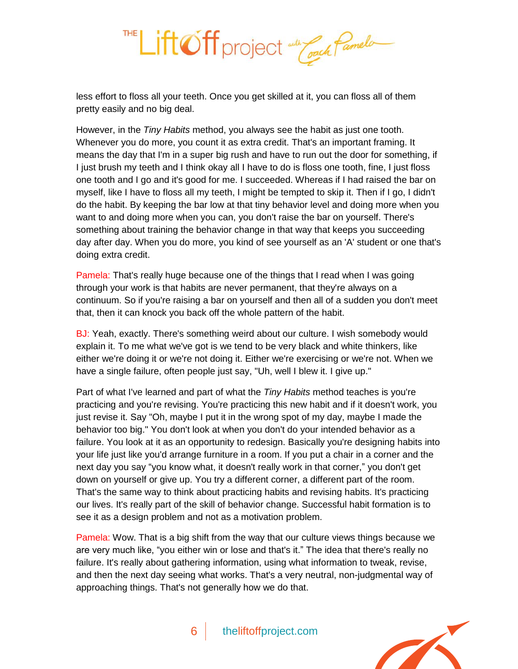

less effort to floss all your teeth. Once you get skilled at it, you can floss all of them pretty easily and no big deal.

However, in the *Tiny Habits* method, you always see the habit as just one tooth. Whenever you do more, you count it as extra credit. That's an important framing. It means the day that I'm in a super big rush and have to run out the door for something, if I just brush my teeth and I think okay all I have to do is floss one tooth, fine, I just floss one tooth and I go and it's good for me. I succeeded. Whereas if I had raised the bar on myself, like I have to floss all my teeth, I might be tempted to skip it. Then if I go, I didn't do the habit. By keeping the bar low at that tiny behavior level and doing more when you want to and doing more when you can, you don't raise the bar on yourself. There's something about training the behavior change in that way that keeps you succeeding day after day. When you do more, you kind of see yourself as an 'A' student or one that's doing extra credit.

Pamela: That's really huge because one of the things that I read when I was going through your work is that habits are never permanent, that they're always on a continuum. So if you're raising a bar on yourself and then all of a sudden you don't meet that, then it can knock you back off the whole pattern of the habit.

BJ: Yeah, exactly. There's something weird about our culture. I wish somebody would explain it. To me what we've got is we tend to be very black and white thinkers, like either we're doing it or we're not doing it. Either we're exercising or we're not. When we have a single failure, often people just say, "Uh, well I blew it. I give up."

Part of what I've learned and part of what the *Tiny Habits* method teaches is you're practicing and you're revising. You're practicing this new habit and if it doesn't work, you just revise it. Say "Oh, maybe I put it in the wrong spot of my day, maybe I made the behavior too big." You don't look at when you don't do your intended behavior as a failure. You look at it as an opportunity to redesign. Basically you're designing habits into your life just like you'd arrange furniture in a room. If you put a chair in a corner and the next day you say "you know what, it doesn't really work in that corner," you don't get down on yourself or give up. You try a different corner, a different part of the room. That's the same way to think about practicing habits and revising habits. It's practicing our lives. It's really part of the skill of behavior change. Successful habit formation is to see it as a design problem and not as a motivation problem.

Pamela: Wow. That is a big shift from the way that our culture views things because we are very much like, "you either win or lose and that's it." The idea that there's really no failure. It's really about gathering information, using what information to tweak, revise, and then the next day seeing what works. That's a very neutral, non-judgmental way of approaching things. That's not generally how we do that.

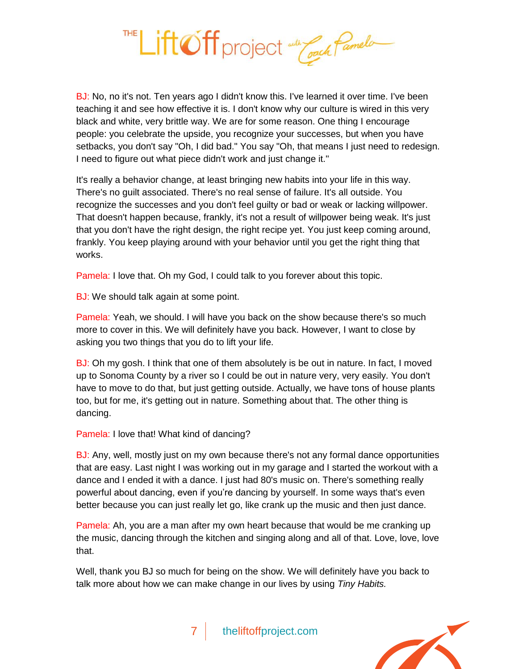

BJ: No, no it's not. Ten years ago I didn't know this. I've learned it over time. I've been teaching it and see how effective it is. I don't know why our culture is wired in this very black and white, very brittle way. We are for some reason. One thing I encourage people: you celebrate the upside, you recognize your successes, but when you have setbacks, you don't say "Oh, I did bad." You say "Oh, that means I just need to redesign. I need to figure out what piece didn't work and just change it."

It's really a behavior change, at least bringing new habits into your life in this way. There's no guilt associated. There's no real sense of failure. It's all outside. You recognize the successes and you don't feel guilty or bad or weak or lacking willpower. That doesn't happen because, frankly, it's not a result of willpower being weak. It's just that you don't have the right design, the right recipe yet. You just keep coming around, frankly. You keep playing around with your behavior until you get the right thing that works.

Pamela: I love that. Oh my God, I could talk to you forever about this topic.

**BJ:** We should talk again at some point.

Pamela: Yeah, we should. I will have you back on the show because there's so much more to cover in this. We will definitely have you back. However, I want to close by asking you two things that you do to lift your life.

BJ: Oh my gosh. I think that one of them absolutely is be out in nature. In fact, I moved up to Sonoma County by a river so I could be out in nature very, very easily. You don't have to move to do that, but just getting outside. Actually, we have tons of house plants too, but for me, it's getting out in nature. Something about that. The other thing is dancing.

Pamela: I love that! What kind of dancing?

BJ: Any, well, mostly just on my own because there's not any formal dance opportunities that are easy. Last night I was working out in my garage and I started the workout with a dance and I ended it with a dance. I just had 80's music on. There's something really powerful about dancing, even if you're dancing by yourself. In some ways that's even better because you can just really let go, like crank up the music and then just dance.

Pamela: Ah, you are a man after my own heart because that would be me cranking up the music, dancing through the kitchen and singing along and all of that. Love, love, love that.

Well, thank you BJ so much for being on the show. We will definitely have you back to talk more about how we can make change in our lives by using *Tiny Habits.*